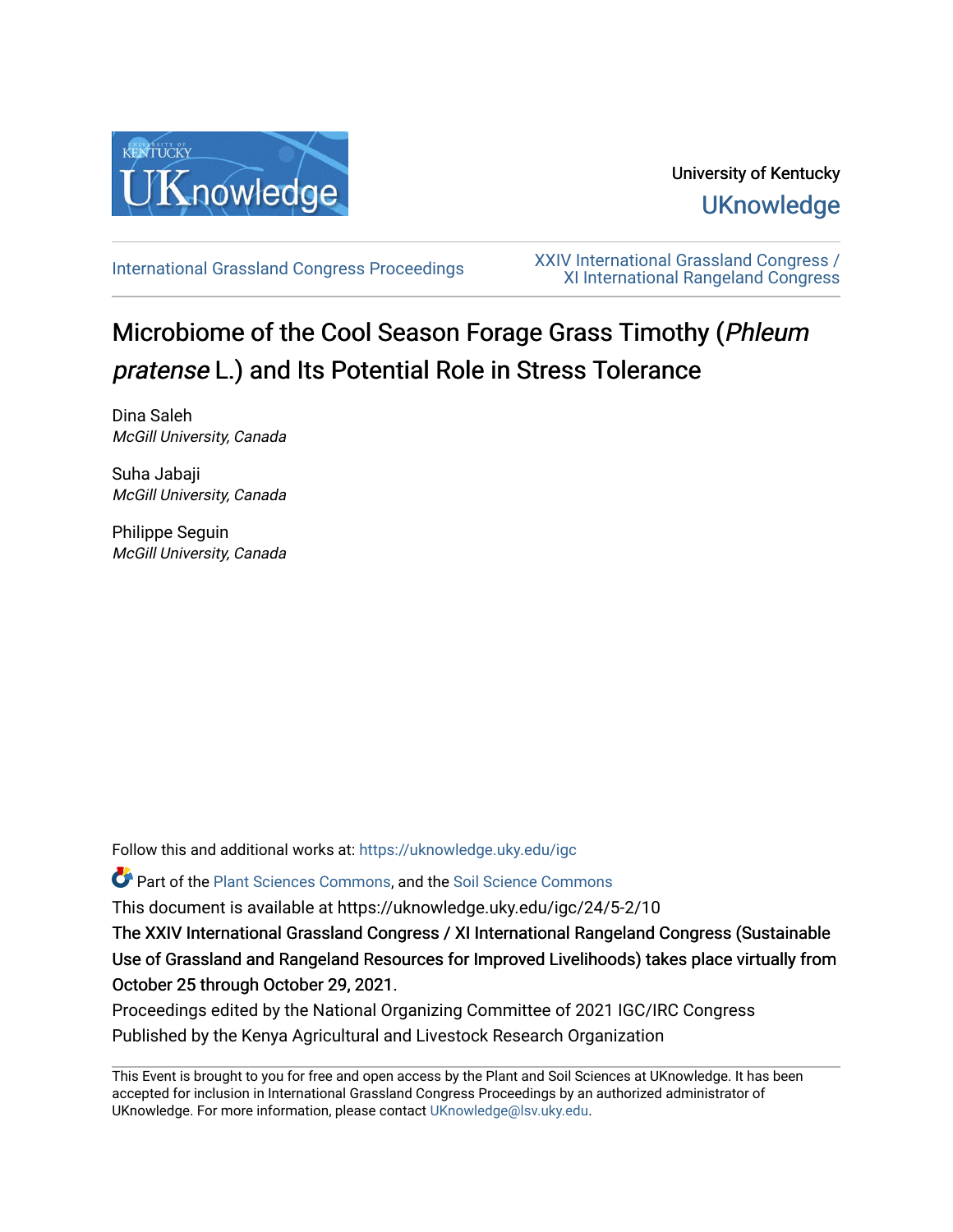

# University of Kentucky **UKnowledge**

[International Grassland Congress Proceedings](https://uknowledge.uky.edu/igc) [XXIV International Grassland Congress /](https://uknowledge.uky.edu/igc/24)  [XI International Rangeland Congress](https://uknowledge.uky.edu/igc/24) 

# Microbiome of the Cool Season Forage Grass Timothy (Phleum pratense L.) and Its Potential Role in Stress Tolerance

Dina Saleh McGill University, Canada

Suha Jabaji McGill University, Canada

Philippe Seguin McGill University, Canada

Follow this and additional works at: [https://uknowledge.uky.edu/igc](https://uknowledge.uky.edu/igc?utm_source=uknowledge.uky.edu%2Figc%2F24%2F5-2%2F10&utm_medium=PDF&utm_campaign=PDFCoverPages) 

Part of the [Plant Sciences Commons](http://network.bepress.com/hgg/discipline/102?utm_source=uknowledge.uky.edu%2Figc%2F24%2F5-2%2F10&utm_medium=PDF&utm_campaign=PDFCoverPages), and the [Soil Science Commons](http://network.bepress.com/hgg/discipline/163?utm_source=uknowledge.uky.edu%2Figc%2F24%2F5-2%2F10&utm_medium=PDF&utm_campaign=PDFCoverPages) 

This document is available at https://uknowledge.uky.edu/igc/24/5-2/10

The XXIV International Grassland Congress / XI International Rangeland Congress (Sustainable Use of Grassland and Rangeland Resources for Improved Livelihoods) takes place virtually from October 25 through October 29, 2021.

Proceedings edited by the National Organizing Committee of 2021 IGC/IRC Congress Published by the Kenya Agricultural and Livestock Research Organization

This Event is brought to you for free and open access by the Plant and Soil Sciences at UKnowledge. It has been accepted for inclusion in International Grassland Congress Proceedings by an authorized administrator of UKnowledge. For more information, please contact [UKnowledge@lsv.uky.edu](mailto:UKnowledge@lsv.uky.edu).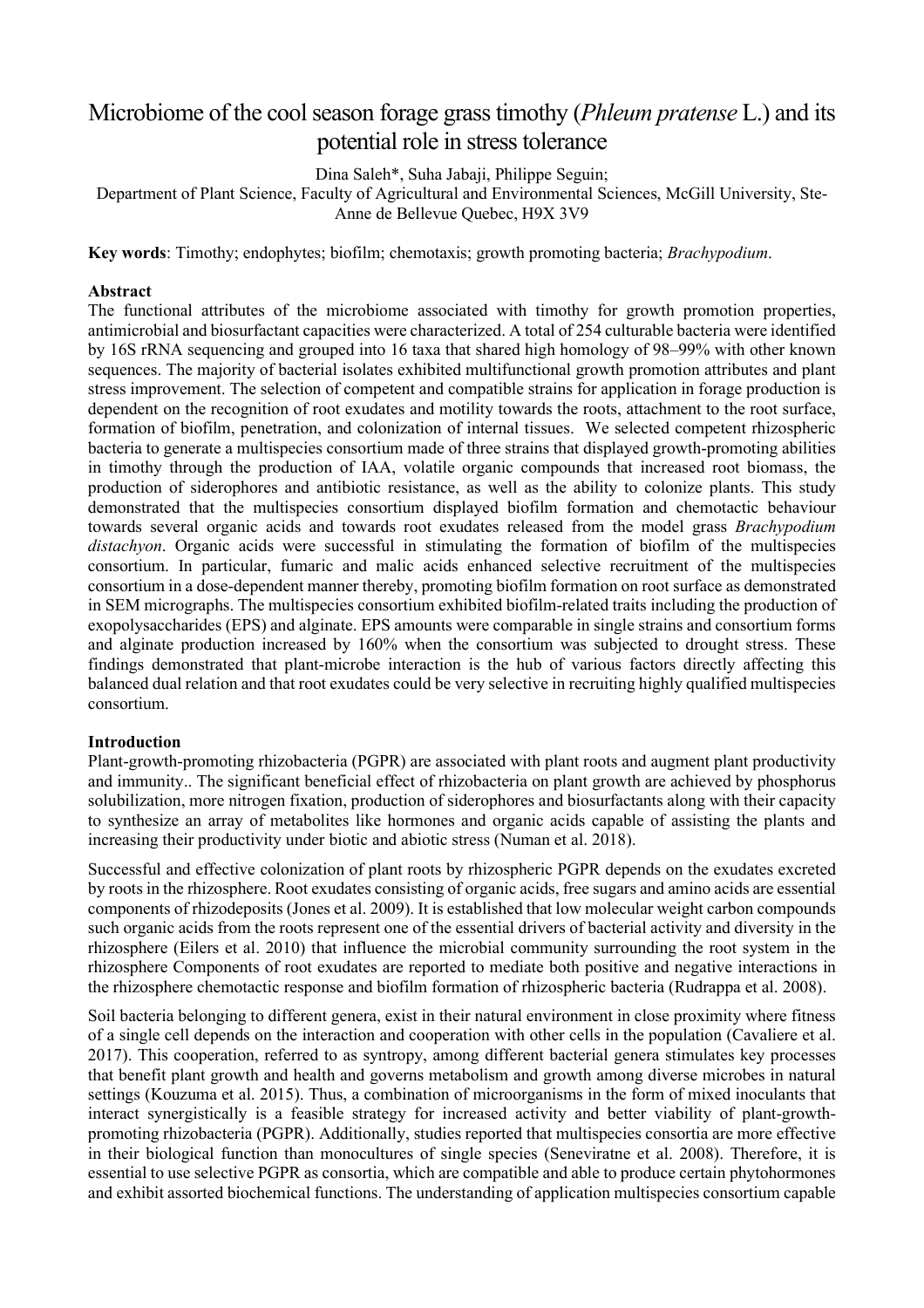# Microbiome of the cool season forage grass timothy (*Phleum pratense* L.) and its potential role in stress tolerance

Dina Saleh\*, Suha Jabaji, Philippe Seguin;

Department of Plant Science, Faculty of Agricultural and Environmental Sciences, McGill University, Ste-Anne de Bellevue Quebec, H9X 3V9

**Key words**: Timothy; endophytes; biofilm; chemotaxis; growth promoting bacteria; *Brachypodium*.

#### **Abstract**

The functional attributes of the microbiome associated with timothy for growth promotion properties, antimicrobial and biosurfactant capacities were characterized. A total of 254 culturable bacteria were identified by 16S rRNA sequencing and grouped into 16 taxa that shared high homology of 98–99% with other known sequences. The majority of bacterial isolates exhibited multifunctional growth promotion attributes and plant stress improvement. The selection of competent and compatible strains for application in forage production is dependent on the recognition of root exudates and motility towards the roots, attachment to the root surface, formation of biofilm, penetration, and colonization of internal tissues. We selected competent rhizospheric bacteria to generate a multispecies consortium made of three strains that displayed growth-promoting abilities in timothy through the production of IAA, volatile organic compounds that increased root biomass, the production of siderophores and antibiotic resistance, as well as the ability to colonize plants. This study demonstrated that the multispecies consortium displayed biofilm formation and chemotactic behaviour towards several organic acids and towards root exudates released from the model grass *Brachypodium distachyon*. Organic acids were successful in stimulating the formation of biofilm of the multispecies consortium. In particular, fumaric and malic acids enhanced selective recruitment of the multispecies consortium in a dose-dependent manner thereby, promoting biofilm formation on root surface as demonstrated in SEM micrographs. The multispecies consortium exhibited biofilm-related traits including the production of exopolysaccharides (EPS) and alginate. EPS amounts were comparable in single strains and consortium forms and alginate production increased by 160% when the consortium was subjected to drought stress. These findings demonstrated that plant-microbe interaction is the hub of various factors directly affecting this balanced dual relation and that root exudates could be very selective in recruiting highly qualified multispecies consortium.

#### **Introduction**

Plant-growth-promoting rhizobacteria (PGPR) are associated with plant roots and augment plant productivity and immunity.. The significant beneficial effect of rhizobacteria on plant growth are achieved by phosphorus solubilization, more nitrogen fixation, production of siderophores and biosurfactants along with their capacity to synthesize an array of metabolites like hormones and organic acids capable of assisting the plants and increasing their productivity under biotic and abiotic stress (Numan et al. 2018).

Successful and effective colonization of plant roots by rhizospheric PGPR depends on the exudates excreted by roots in the rhizosphere. Root exudates consisting of organic acids, free sugars and amino acids are essential components of rhizodeposits (Jones et al. 2009). It is established that low molecular weight carbon compounds such organic acids from the roots represent one of the essential drivers of bacterial activity and diversity in the rhizosphere (Eilers et al. 2010) that influence the microbial community surrounding the root system in the rhizosphere Components of root exudates are reported to mediate both positive and negative interactions in the rhizosphere chemotactic response and biofilm formation of rhizospheric bacteria (Rudrappa et al. 2008).

Soil bacteria belonging to different genera, exist in their natural environment in close proximity where fitness of a single cell depends on the interaction and cooperation with other cells in the population (Cavaliere et al. 2017). This cooperation, referred to as syntropy, among different bacterial genera stimulates key processes that benefit plant growth and health and governs metabolism and growth among diverse microbes in natural settings (Kouzuma et al. 2015). Thus, a combination of microorganisms in the form of mixed inoculants that interact synergistically is a feasible strategy for increased activity and better viability of plant-growthpromoting rhizobacteria (PGPR). Additionally, studies reported that multispecies consortia are more effective in their biological function than monocultures of single species (Seneviratne et al. 2008). Therefore, it is essential to use selective PGPR as consortia, which are compatible and able to produce certain phytohormones and exhibit assorted biochemical functions. The understanding of application multispecies consortium capable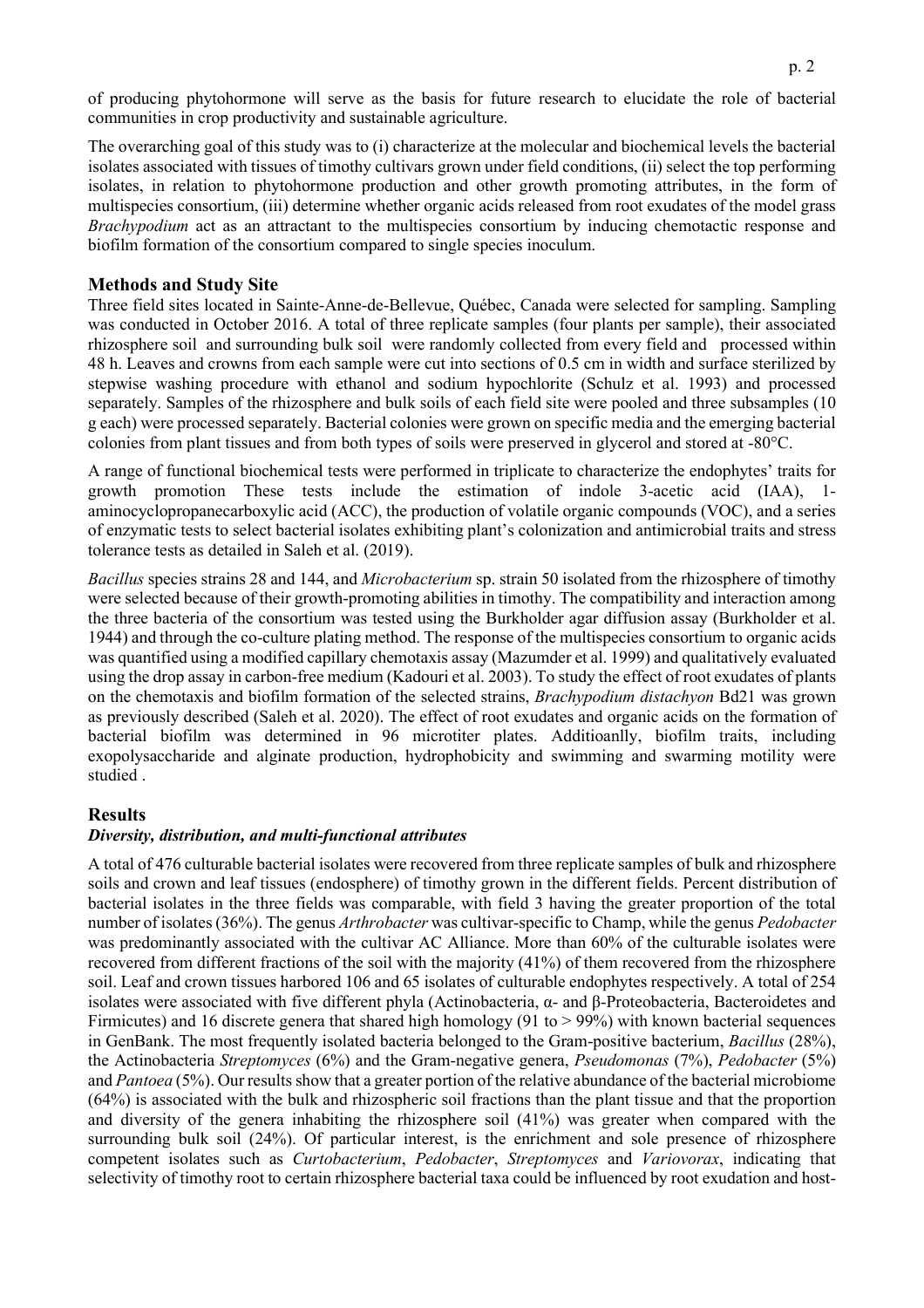of producing phytohormone will serve as the basis for future research to elucidate the role of bacterial communities in crop productivity and sustainable agriculture.

The overarching goal of this study was to (i) characterize at the molecular and biochemical levels the bacterial isolates associated with tissues of timothy cultivars grown under field conditions, (ii) select the top performing isolates, in relation to phytohormone production and other growth promoting attributes, in the form of multispecies consortium, (iii) determine whether organic acids released from root exudates of the model grass *Brachypodium* act as an attractant to the multispecies consortium by inducing chemotactic response and biofilm formation of the consortium compared to single species inoculum.

## **Methods and Study Site**

Three field sites located in Sainte-Anne-de-Bellevue, Québec, Canada were selected for sampling. Sampling was conducted in October 2016. A total of three replicate samples (four plants per sample), their associated rhizosphere soil and surrounding bulk soil were randomly collected from every field and processed within 48 h. Leaves and crowns from each sample were cut into sections of 0.5 cm in width and surface sterilized by stepwise washing procedure with ethanol and sodium hypochlorite (Schulz et al. 1993) and processed separately. Samples of the rhizosphere and bulk soils of each field site were pooled and three subsamples (10 g each) were processed separately. Bacterial colonies were grown on specific media and the emerging bacterial colonies from plant tissues and from both types of soils were preserved in glycerol and stored at -80°C.

A range of functional biochemical tests were performed in triplicate to characterize the endophytes' traits for growth promotion These tests include the estimation of indole 3-acetic acid (IAA), 1 aminocyclopropanecarboxylic acid (ACC), the production of volatile organic compounds (VOC), and a series of enzymatic tests to select bacterial isolates exhibiting plant's colonization and antimicrobial traits and stress tolerance tests as detailed in Saleh et al. (2019).

*Bacillus* species strains 28 and 144, and *Microbacterium* sp. strain 50 isolated from the rhizosphere of timothy were selected because of their growth-promoting abilities in timothy. The compatibility and interaction among the three bacteria of the consortium was tested using the Burkholder agar diffusion assay (Burkholder et al. 1944) and through the co-culture plating method. The response of the multispecies consortium to organic acids was quantified using a modified capillary chemotaxis assay (Mazumder et al. 1999) and qualitatively evaluated using the drop assay in carbon-free medium (Kadouri et al. 2003). To study the effect of root exudates of plants on the chemotaxis and biofilm formation of the selected strains, *Brachypodium distachyon* Bd21 was grown as previously described (Saleh et al. 2020). The effect of root exudates and organic acids on the formation of bacterial biofilm was determined in 96 microtiter plates. Additioanlly, biofilm traits, including exopolysaccharide and alginate production, hydrophobicity and swimming and swarming motility were studied .

#### **Results**

#### *Diversity, distribution, and multi-functional attributes*

A total of 476 culturable bacterial isolates were recovered from three replicate samples of bulk and rhizosphere soils and crown and leaf tissues (endosphere) of timothy grown in the different fields. Percent distribution of bacterial isolates in the three fields was comparable, with field 3 having the greater proportion of the total number of isolates (36%). The genus *Arthrobacter* was cultivar-specific to Champ, while the genus *Pedobacter*  was predominantly associated with the cultivar AC Alliance. More than 60% of the culturable isolates were recovered from different fractions of the soil with the majority (41%) of them recovered from the rhizosphere soil. Leaf and crown tissues harbored 106 and 65 isolates of culturable endophytes respectively. A total of 254 isolates were associated with five different phyla (Actinobacteria, α- and β-Proteobacteria, Bacteroidetes and Firmicutes) and 16 discrete genera that shared high homology (91 to > 99%) with known bacterial sequences in GenBank. The most frequently isolated bacteria belonged to the Gram-positive bacterium, *Bacillus* (28%), the Actinobacteria *Streptomyces* (6%) and the Gram-negative genera, *Pseudomonas* (7%), *Pedobacter* (5%) and *Pantoea* (5%). Our results show that a greater portion of the relative abundance of the bacterial microbiome (64%) is associated with the bulk and rhizospheric soil fractions than the plant tissue and that the proportion and diversity of the genera inhabiting the rhizosphere soil (41%) was greater when compared with the surrounding bulk soil (24%). Of particular interest, is the enrichment and sole presence of rhizosphere competent isolates such as *Curtobacterium*, *Pedobacter*, *Streptomyces* and *Variovorax*, indicating that selectivity of timothy root to certain rhizosphere bacterial taxa could be influenced by root exudation and host-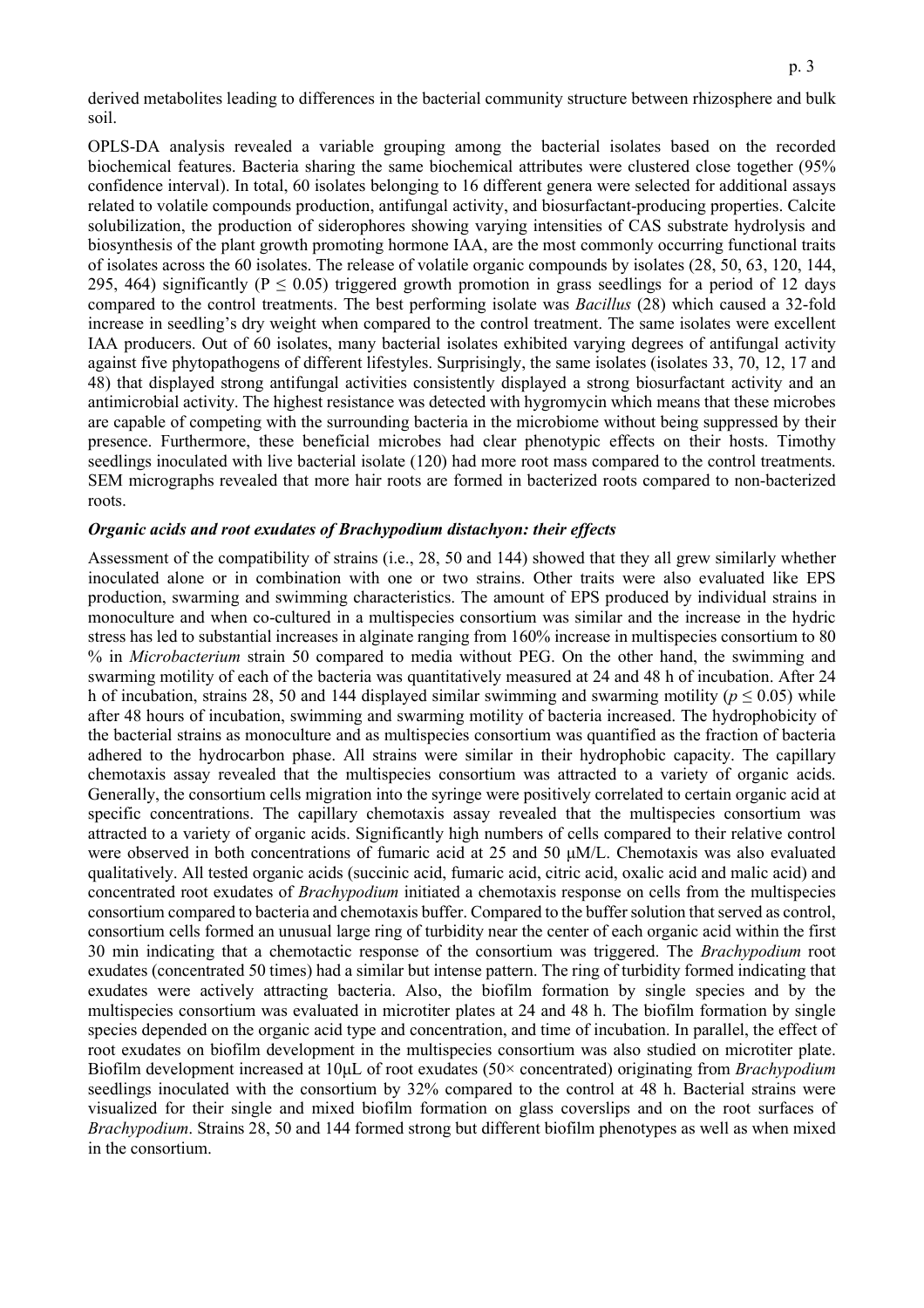derived metabolites leading to differences in the bacterial community structure between rhizosphere and bulk soil.

OPLS-DA analysis revealed a variable grouping among the bacterial isolates based on the recorded biochemical features. Bacteria sharing the same biochemical attributes were clustered close together (95% confidence interval). In total, 60 isolates belonging to 16 different genera were selected for additional assays related to volatile compounds production, antifungal activity, and biosurfactant-producing properties. Calcite solubilization, the production of siderophores showing varying intensities of CAS substrate hydrolysis and biosynthesis of the plant growth promoting hormone IAA, are the most commonly occurring functional traits of isolates across the 60 isolates. The release of volatile organic compounds by isolates (28, 50, 63, 120, 144, 295, 464) significantly ( $P \le 0.05$ ) triggered growth promotion in grass seedlings for a period of 12 days compared to the control treatments. The best performing isolate was *Bacillus* (28) which caused a 32-fold increase in seedling's dry weight when compared to the control treatment. The same isolates were excellent IAA producers. Out of 60 isolates, many bacterial isolates exhibited varying degrees of antifungal activity against five phytopathogens of different lifestyles. Surprisingly, the same isolates (isolates 33, 70, 12, 17 and 48) that displayed strong antifungal activities consistently displayed a strong biosurfactant activity and an antimicrobial activity. The highest resistance was detected with hygromycin which means that these microbes are capable of competing with the surrounding bacteria in the microbiome without being suppressed by their presence. Furthermore, these beneficial microbes had clear phenotypic effects on their hosts. Timothy seedlings inoculated with live bacterial isolate (120) had more root mass compared to the control treatments. SEM micrographs revealed that more hair roots are formed in bacterized roots compared to non-bacterized roots.

#### *Organic acids and root exudates of Brachypodium distachyon: their effects*

Assessment of the compatibility of strains (i.e., 28, 50 and 144) showed that they all grew similarly whether inoculated alone or in combination with one or two strains. Other traits were also evaluated like EPS production, swarming and swimming characteristics. The amount of EPS produced by individual strains in monoculture and when co-cultured in a multispecies consortium was similar and the increase in the hydric stress has led to substantial increases in alginate ranging from 160% increase in multispecies consortium to 80 % in *Microbacterium* strain 50 compared to media without PEG. On the other hand, the swimming and swarming motility of each of the bacteria was quantitatively measured at 24 and 48 h of incubation. After 24 h of incubation, strains 28, 50 and 144 displayed similar swimming and swarming motility ( $p \le 0.05$ ) while after 48 hours of incubation, swimming and swarming motility of bacteria increased. The hydrophobicity of the bacterial strains as monoculture and as multispecies consortium was quantified as the fraction of bacteria adhered to the hydrocarbon phase. All strains were similar in their hydrophobic capacity. The capillary chemotaxis assay revealed that the multispecies consortium was attracted to a variety of organic acids. Generally, the consortium cells migration into the syringe were positively correlated to certain organic acid at specific concentrations. The capillary chemotaxis assay revealed that the multispecies consortium was attracted to a variety of organic acids. Significantly high numbers of cells compared to their relative control were observed in both concentrations of fumaric acid at 25 and 50 μM/L. Chemotaxis was also evaluated qualitatively. All tested organic acids (succinic acid, fumaric acid, citric acid, oxalic acid and malic acid) and concentrated root exudates of *Brachypodium* initiated a chemotaxis response on cells from the multispecies consortium compared to bacteria and chemotaxis buffer. Compared to the buffer solution that served as control, consortium cells formed an unusual large ring of turbidity near the center of each organic acid within the first 30 min indicating that a chemotactic response of the consortium was triggered. The *Brachypodium* root exudates (concentrated 50 times) had a similar but intense pattern. The ring of turbidity formed indicating that exudates were actively attracting bacteria. Also, the biofilm formation by single species and by the multispecies consortium was evaluated in microtiter plates at 24 and 48 h. The biofilm formation by single species depended on the organic acid type and concentration, and time of incubation. In parallel, the effect of root exudates on biofilm development in the multispecies consortium was also studied on microtiter plate. Biofilm development increased at 10μL of root exudates (50× concentrated) originating from *Brachypodium*  seedlings inoculated with the consortium by 32% compared to the control at 48 h. Bacterial strains were visualized for their single and mixed biofilm formation on glass coverslips and on the root surfaces of *Brachypodium*. Strains 28, 50 and 144 formed strong but different biofilm phenotypes as well as when mixed in the consortium.